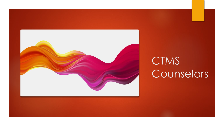

# CTMS Counselors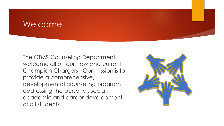## Welcome

The CTMS Counseling Department welcome all of our new and current Champion Chargers. Our mission is to provide a comprehensive, developmental counseling program addressing the personal, social, academic and career development of all students.

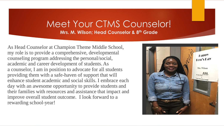### Meet Your CTMS Counselor! **Mrs. M. Wilson; Head Counselor & 8th Grade**

As Head Counselor at Champion Theme Middle School, my role is to provide a comprehensive, developmental counseling program addressing the personal/social, academic and career development of students. As a counselor, I am in position to advocate for all students providing them with a safe-haven of support that will enhance student academic and social skills. I embrace each day with an awesome opportunity to provide students and their families with resources and assistance that impact and improve overall student outcome. I look forward to a rewarding school-year!

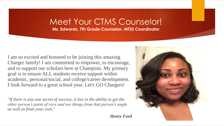## Meet Your CTMS Counselor!

**Ms. Edwards, 7th Grade Counselor, MTSS Coordinator**

I am so excited and honored to be joining this amazing Charger family! I am committed to empower, to encourage, and to support our scholars here at Champion. My primary goal is to ensure ALL students receive support within academic, personal/social, and college/career development. I look forward to a great school year. Let's GO Chargers!

*"If there is any one secret of success, it lies in the ability to get the other person's point of view and see things from that person's angle as well as from your own.*"

*Henry Ford*

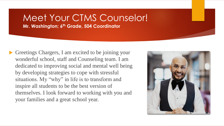## Meet Your CTMS Counselor!

**Mr. Washington; 6th Grade, 504 Coordinator**

 Greetings Chargers, I am excited to be joining your wonderful school, staff and Counseling team. I am dedicated to improving social and mental well being by developing strategies to cope with stressful situations. My "why" in life is to transform and inspire all students to be the best version of themselves. I look forward to working with you and your families and a great school year.

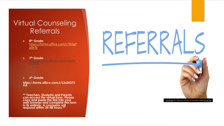## Virtual Counseling Referrals

 $\blacktriangleright$ **8 th Grade:**  [https://forms.office.com/r/TASgP](https://forms.office.com/r/TASgPp0xTe) p0xTe

 $\blacktriangleright$ **7 th Grade:**  [https://forms.office.com/](https://forms.office.com/r/dpNrNU4kfL) r /dpNr

 $\blacktriangleright$ **6 th Grade:**

**https://forms.office.com/r/L2u2KS7S AA**

**\*\* Teachers, Students and Parents can access the virtual form. Please copy and paste the link into your web browser and complete the form in its entirety. A counselor will respond within 24 -48 hours.\*\***

[This Photo](http://www.thebluediamondgallery.com/handwriting/r/referrals.html) by Unknown Author is licensed under [CC BY](https://creativecommons.org/licenses/by-sa/3.0/)-SA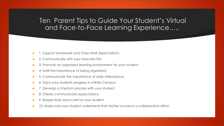#### Ten Parent Tips to Guide Your Student's Virtual and Face-to-Face Learning Experience…..

- 1. Support Homework and Class Work Expectations.
- 2. Communicate with your teachers first.
- 3. Promote an organized learning environment for your student.
- 4. Instill the importance of being organized.
- 5. Communicate the importance of daily attendance.
- 6. Track your students progress in Infinite Campus.
- 7. Develop a check-in process with your student.
- 8. Clearly communicate expectations.
- 9. Respectfully advocate for your student
- 10. Make sure your student understand that his/her success is a collaborative effort.